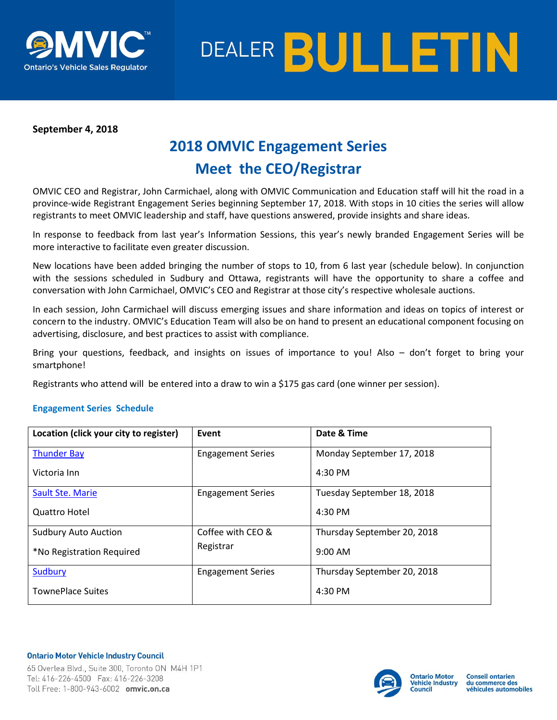



## **September 4, 2018**

# **2018 OMVIC Engagement Series Meet the CEO/Registrar**

OMVIC CEO and Registrar, John Carmichael, along with OMVIC Communication and Education staff will hit the road in a province-wide Registrant Engagement Series beginning September 17, 2018. With stops in 10 cities the series will allow registrants to meet OMVIC leadership and staff, have questions answered, provide insights and share ideas.

In response to feedback from last year's Information Sessions, this year's newly branded Engagement Series will be more interactive to facilitate even greater discussion.

New locations have been added bringing the number of stops to 10, from 6 last year (schedule below). In conjunction with the sessions scheduled in Sudbury and Ottawa, registrants will have the opportunity to share a coffee and conversation with John Carmichael, OMVIC's CEO and Registrar at those city's respective wholesale auctions.

In each session, John Carmichael will discuss emerging issues and share information and ideas on topics of interest or concern to the industry. OMVIC's Education Team will also be on hand to present an educational component focusing on advertising, disclosure, and best practices to assist with compliance.

Bring your questions, feedback, and insights on issues of importance to you! Also – don't forget to bring your smartphone!

Registrants who attend will be entered into a draw to win a \$175 gas card (one winner per session).

### **Engagement Series Schedule**

| Location (click your city to register) | Event                    | Date & Time                 |
|----------------------------------------|--------------------------|-----------------------------|
| <b>Thunder Bay</b>                     | <b>Engagement Series</b> | Monday September 17, 2018   |
| Victoria Inn                           |                          | $4:30$ PM                   |
| Sault Ste. Marie                       | <b>Engagement Series</b> | Tuesday September 18, 2018  |
| Quattro Hotel                          |                          | 4:30 PM                     |
| <b>Sudbury Auto Auction</b>            | Coffee with CEO &        | Thursday September 20, 2018 |
| *No Registration Required              | Registrar                | $9:00$ AM                   |
| <b>Sudbury</b>                         | <b>Engagement Series</b> | Thursday September 20, 2018 |
| <b>TownePlace Suites</b>               |                          | 4:30 PM                     |